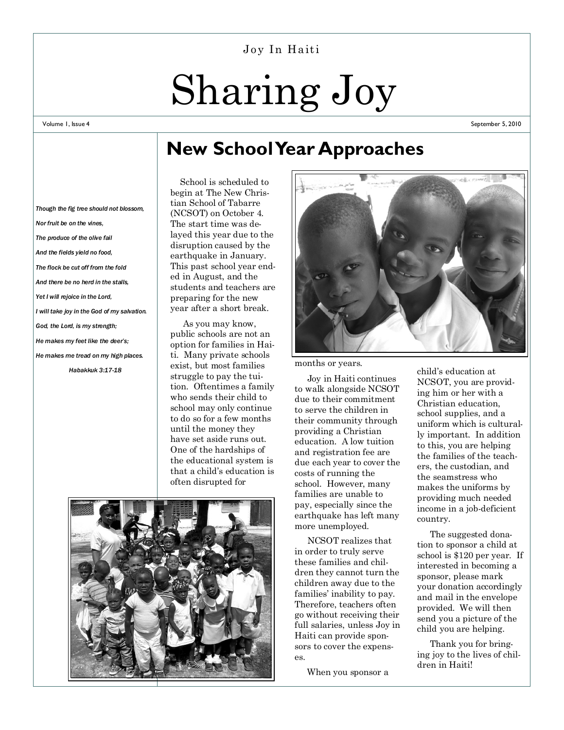#### Joy In Haiti

# Sharing Joy

#### Volume 1, Issue 4

September 5, 2010

## **New School Year Approaches**

*Though the fig tree should not blossom, Nor fruit be on the vines, The produce of the olive fail And the fields yield no food, The flock be cut off from the fold And there be no herd in the stalls, Yet I will rejoice in the Lord, I will take joy in the God of my salvation. God, the Lord, is my strength; He makes my feet like the deer's; He makes me tread on my high places. Habakkuk 3:17-18*

 School is scheduled to begin at The New Christian School of Tabarre (NCSOT) on October 4. The start time was delayed this year due to the disruption caused by the earthquake in January. This past school year ended in August, and the students and teachers are preparing for the new year after a short break.

 As you may know, public schools are not an option for families in Haiti. Many private schools exist, but most families struggle to pay the tuition. Oftentimes a family who sends their child to school may only continue to do so for a few months until the money they have set aside runs out. One of the hardships of the educational system is that a child's education is often disrupted for





months or years.

 Joy in Haiti continues to walk alongside NCSOT due to their commitment to serve the children in their community through providing a Christian education. A low tuition and registration fee are due each year to cover the costs of running the school. However, many families are unable to pay, especially since the earthquake has left many more unemployed.

 NCSOT realizes that in order to truly serve these families and children they cannot turn the children away due to the families' inability to pay. Therefore, teachers often go without receiving their full salaries, unless Joy in Haiti can provide sponsors to cover the expenses.

When you sponsor a

child's education at NCSOT, you are providing him or her with a Christian education, school supplies, and a uniform which is culturally important. In addition to this, you are helping the families of the teachers, the custodian, and the seamstress who makes the uniforms by providing much needed income in a job-deficient country.

 The suggested donation to sponsor a child at school is \$120 per year. If interested in becoming a sponsor, please mark your donation accordingly and mail in the envelope provided. We will then send you a picture of the child you are helping.

 Thank you for bringing joy to the lives of children in Haiti!